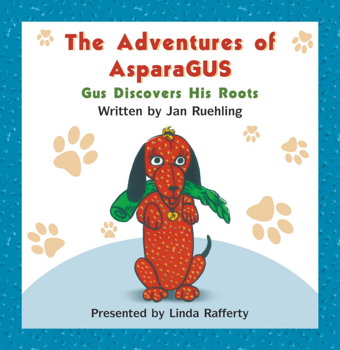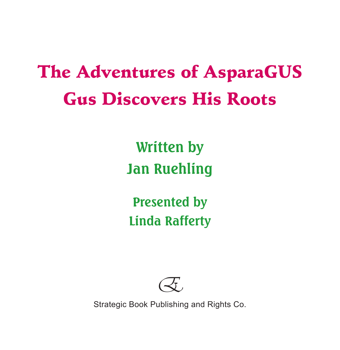## The Adventures of AsparaGUS Gus Discovers His Roots

**Written by Jan Ruehling**

**Presented by Linda Rafferty**



Strategic Book Publishing and Rights Co.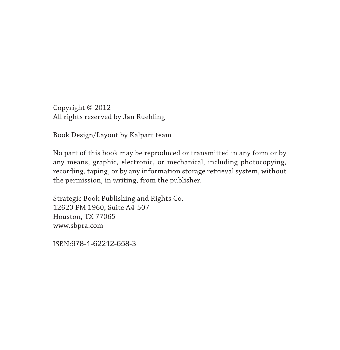Copyright © 2012 All rights reserved by Jan Ruehling

Book Design/Layout by Kalpart team

No part of this book may be reproduced or transmitted in any form or by any means, graphic, electronic, or mechanical, including photocopying, recording, taping, or by any information storage retrieval system, without the permission, in writing, from the publisher.

Strategic Book Publishing and Rights Co. 12620 FM 1960, Suite A4-507 Houston, TX 77065 www.sbpra.com

ISBN:978-1-62212-658-3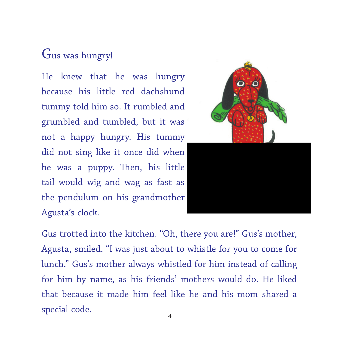## Gus was hungry!

He knew that he was hungry because his little red dachshund tummy told him so. It rumbled and grumbled and tumbled, but it was not a happy hungry. His tummy did not sing like it once did when he was a puppy. Then, his little tail would wig and wag as fast as the pendulum on his grandmother Agusta's clock.

Gus trotted into the kitchen. "Oh, there you are!" Gus's mother, Agusta, smiled. "I was just about to whistle for you to come for lunch." Gus's mother always whistled for him instead of calling for him by name, as his friends' mothers would do. He liked that because it made him feel like he and his mom shared a special code.  $4\overline{4}$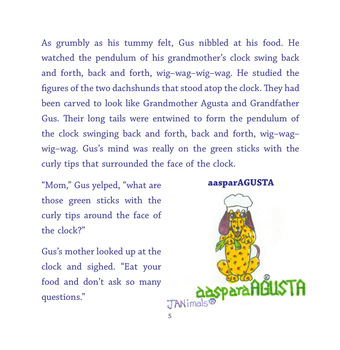As grumbly as his tummy felt, Gus nibbled at his food. He watched the pendulum of his grandmother's clock swing back and forth, back and forth, wig–wag–wig–wag. He studied the figures of the two dachshunds that stood atop the clock. They had been carved to look like Grandmother Agusta and Grandfather Gus. Their long tails were entwined to form the pendulum of the clock swinging back and forth, back and forth, wig–wag– wig–wag. Gus's mind was really on the green sticks with the curly tips that surrounded the face of the clock.

"Mom," Gus yelped, "what are those green sticks with the curly tips around the face of the clock?"

Gus's mother looked up at the clock and sighed. "Eat your food and don't ask so many questions."

## **aasparAGUSTA**

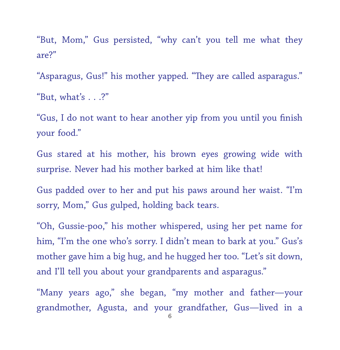"But, Mom," Gus persisted, "why can't you tell me what they are?"

"Asparagus, Gus!" his mother yapped. "They are called asparagus." "But, what's  $\ldots$ ?"

"Gus, I do not want to hear another yip from you until you finish your food."

Gus stared at his mother, his brown eyes growing wide with surprise. Never had his mother barked at him like that!

Gus padded over to her and put his paws around her waist. "I'm sorry, Mom," Gus gulped, holding back tears.

"Oh, Gussie-poo," his mother whispered, using her pet name for him, "I'm the one who's sorry. I didn't mean to bark at you." Gus's mother gave him a big hug, and he hugged her too. "Let's sit down, and I'll tell you about your grandparents and asparagus."

"Many years ago," she began, "my mother and father—your grandmother, Agusta, and your grandfather, Gus—lived in a 6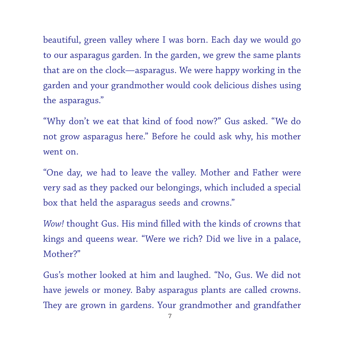beautiful, green valley where I was born. Each day we would go to our asparagus garden. In the garden, we grew the same plants that are on the clock—asparagus. We were happy working in the garden and your grandmother would cook delicious dishes using the asparagus."

"Why don't we eat that kind of food now?" Gus asked. "We do not grow asparagus here." Before he could ask why, his mother went on.

"One day, we had to leave the valley. Mother and Father were very sad as they packed our belongings, which included a special box that held the asparagus seeds and crowns."

*Wow!* thought Gus. His mind filled with the kinds of crowns that kings and queens wear. "Were we rich? Did we live in a palace, Mother?"

Gus's mother looked at him and laughed. "No, Gus. We did not have jewels or money. Baby asparagus plants are called crowns. They are grown in gardens. Your grandmother and grandfather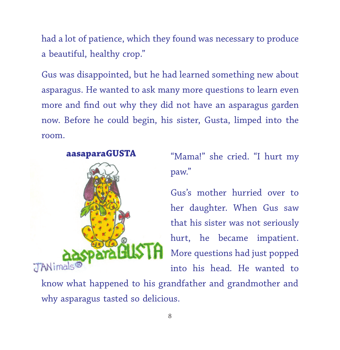had a lot of patience, which they found was necessary to produce a beautiful, healthy crop."

Gus was disappointed, but he had learned something new about asparagus. He wanted to ask many more questions to learn even more and find out why they did not have an asparagus garden now. Before he could begin, his sister, Gusta, limped into the room.

## **aasaparaGUSTA**



"Mama!" she cried. "I hurt my paw."

Gus's mother hurried over to her daughter. When Gus saw that his sister was not seriously hurt, he became impatient. More questions had just popped into his head. He wanted to

know what happened to his grandfather and grandmother and why asparagus tasted so delicious.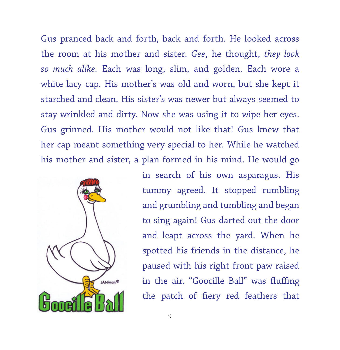Gus pranced back and forth, back and forth. He looked across the room at his mother and sister. *Gee*, he thought, *they look so much alike.* Each was long, slim, and golden. Each wore a white lacy cap. His mother's was old and worn, but she kept it starched and clean. His sister's was newer but always seemed to stay wrinkled and dirty. Now she was using it to wipe her eyes. Gus grinned. His mother would not like that! Gus knew that her cap meant something very special to her. While he watched his mother and sister, a plan formed in his mind. He would go



in search of his own asparagus. His tummy agreed. It stopped rumbling and grumbling and tumbling and began to sing again! Gus darted out the door and leapt across the yard. When he spotted his friends in the distance, he paused with his right front paw raised in the air. "Goocille Ball" was fluffing the patch of fiery red feathers that